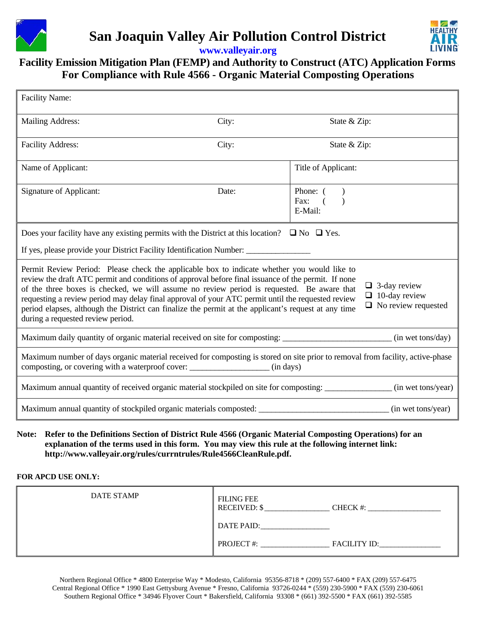

# **San Joaquin Valley Air Pollution Control District**



**www.valleyair.org**

# **Facility Emission Mitigation Plan (FEMP) and Authority to Construct (ATC) Application Forms For Compliance with Rule 4566 - Organic Material Composting Operations**

| <b>Facility Name:</b>                                                                                                                                                                                                                                                                                                                                                                                                                                                                                                                                                                                                           |       |                                           |  |
|---------------------------------------------------------------------------------------------------------------------------------------------------------------------------------------------------------------------------------------------------------------------------------------------------------------------------------------------------------------------------------------------------------------------------------------------------------------------------------------------------------------------------------------------------------------------------------------------------------------------------------|-------|-------------------------------------------|--|
| <b>Mailing Address:</b>                                                                                                                                                                                                                                                                                                                                                                                                                                                                                                                                                                                                         | City: | State & Zip:                              |  |
| <b>Facility Address:</b>                                                                                                                                                                                                                                                                                                                                                                                                                                                                                                                                                                                                        | City: | State & Zip:                              |  |
| Name of Applicant:                                                                                                                                                                                                                                                                                                                                                                                                                                                                                                                                                                                                              |       | Title of Applicant:                       |  |
| <b>Signature of Applicant:</b>                                                                                                                                                                                                                                                                                                                                                                                                                                                                                                                                                                                                  | Date: | Phone: (<br>Fax:<br>$\sqrt{ }$<br>E-Mail: |  |
| Does your facility have any existing permits with the District at this location? $\Box$ No $\Box$ Yes.                                                                                                                                                                                                                                                                                                                                                                                                                                                                                                                          |       |                                           |  |
| If yes, please provide your District Facility Identification Number:                                                                                                                                                                                                                                                                                                                                                                                                                                                                                                                                                            |       |                                           |  |
| Permit Review Period: Please check the applicable box to indicate whether you would like to<br>review the draft ATC permit and conditions of approval before final issuance of the permit. If none<br>$\Box$ 3-day review<br>of the three boxes is checked, we will assume no review period is requested. Be aware that<br>$\Box$ 10-day review<br>requesting a review period may delay final approval of your ATC permit until the requested review<br>$\Box$ No review requested<br>period elapses, although the District can finalize the permit at the applicant's request at any time<br>during a requested review period. |       |                                           |  |
| Maximum daily quantity of organic material received on site for composting: _______________________(in wet tons/day)                                                                                                                                                                                                                                                                                                                                                                                                                                                                                                            |       |                                           |  |
| Maximum number of days organic material received for composting is stored on site prior to removal from facility, active-phase<br>composting, or covering with a waterproof cover: _______________________ (in days)                                                                                                                                                                                                                                                                                                                                                                                                            |       |                                           |  |
| Maximum annual quantity of received organic material stockpiled on site for composting: ______________(in wet tons/year)                                                                                                                                                                                                                                                                                                                                                                                                                                                                                                        |       |                                           |  |
| Maximum annual quantity of stockpiled organic materials composted: ________________________________ (in wet tons/year)                                                                                                                                                                                                                                                                                                                                                                                                                                                                                                          |       |                                           |  |
| Note: Refer to the Definitions Section of District Rule 4566 (Organic Material Composting Operations) for an<br>explanation of the terms used in this form. You may view this rule at the following internet link:                                                                                                                                                                                                                                                                                                                                                                                                              |       |                                           |  |

**http://www.valleyair.org/rules/currntrules/Rule4566CleanRule.pdf.** 

#### **FOR APCD USE ONLY:**

| <b>DATE STAMP</b> | <b>FILING FEE</b><br><b>RECEIVED: \$</b> | CHECK #:            |
|-------------------|------------------------------------------|---------------------|
|                   | DATE PAID:                               |                     |
|                   | <b>PROJECT#:</b>                         | <b>FACILITY ID:</b> |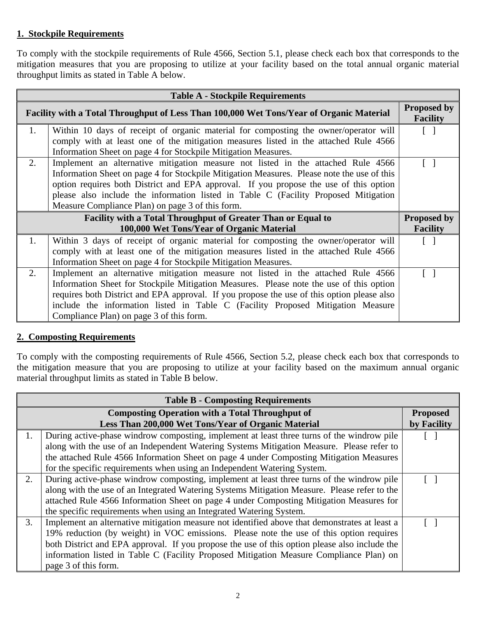#### **1. Stockpile Requirements**

To comply with the stockpile requirements of Rule 4566, Section 5.1, please check each box that corresponds to the mitigation measures that you are proposing to utilize at your facility based on the total annual organic material throughput limits as stated in Table A below.

| <b>Table A - Stockpile Requirements</b>                                                                          |                                                                                                                                                                                                                                                                                                                                                                                                                    |                                       |
|------------------------------------------------------------------------------------------------------------------|--------------------------------------------------------------------------------------------------------------------------------------------------------------------------------------------------------------------------------------------------------------------------------------------------------------------------------------------------------------------------------------------------------------------|---------------------------------------|
| Facility with a Total Throughput of Less Than 100,000 Wet Tons/Year of Organic Material                          |                                                                                                                                                                                                                                                                                                                                                                                                                    | <b>Proposed by</b><br><b>Facility</b> |
| 1.                                                                                                               | Within 10 days of receipt of organic material for composting the owner/operator will                                                                                                                                                                                                                                                                                                                               |                                       |
|                                                                                                                  | comply with at least one of the mitigation measures listed in the attached Rule 4566<br>Information Sheet on page 4 for Stockpile Mitigation Measures.                                                                                                                                                                                                                                                             |                                       |
| 2.                                                                                                               | Implement an alternative mitigation measure not listed in the attached Rule 4566<br>Information Sheet on page 4 for Stockpile Mitigation Measures. Please note the use of this<br>option requires both District and EPA approval. If you propose the use of this option<br>please also include the information listed in Table C (Facility Proposed Mitigation<br>Measure Compliance Plan) on page 3 of this form. |                                       |
| <b>Facility with a Total Throughput of Greater Than or Equal to</b><br>100,000 Wet Tons/Year of Organic Material |                                                                                                                                                                                                                                                                                                                                                                                                                    | <b>Proposed by</b><br><b>Facility</b> |
| 1.                                                                                                               | Within 3 days of receipt of organic material for composting the owner/operator will<br>comply with at least one of the mitigation measures listed in the attached Rule 4566<br>Information Sheet on page 4 for Stockpile Mitigation Measures.                                                                                                                                                                      |                                       |
| 2.                                                                                                               | Implement an alternative mitigation measure not listed in the attached Rule 4566<br>Information Sheet for Stockpile Mitigation Measures. Please note the use of this option<br>requires both District and EPA approval. If you propose the use of this option please also<br>include the information listed in Table C (Facility Proposed Mitigation Measure<br>Compliance Plan) on page 3 of this form.           |                                       |

#### **2. Composting Requirements**

To comply with the composting requirements of Rule 4566, Section 5.2, please check each box that corresponds to the mitigation measure that you are proposing to utilize at your facility based on the maximum annual organic material throughput limits as stated in Table B below.

| <b>Table B - Composting Requirements</b>               |                                                                                               |                 |
|--------------------------------------------------------|-----------------------------------------------------------------------------------------------|-----------------|
| <b>Composting Operation with a Total Throughput of</b> |                                                                                               | <b>Proposed</b> |
|                                                        | Less Than 200,000 Wet Tons/Year of Organic Material                                           | by Facility     |
| 1.                                                     | During active-phase windrow composting, implement at least three turns of the windrow pile    |                 |
|                                                        | along with the use of an Independent Watering Systems Mitigation Measure. Please refer to     |                 |
|                                                        | the attached Rule 4566 Information Sheet on page 4 under Composting Mitigation Measures       |                 |
|                                                        | for the specific requirements when using an Independent Watering System.                      |                 |
| 2.                                                     | During active-phase windrow composting, implement at least three turns of the windrow pile    |                 |
|                                                        | along with the use of an Integrated Watering Systems Mitigation Measure. Please refer to the  |                 |
|                                                        | attached Rule 4566 Information Sheet on page 4 under Composting Mitigation Measures for       |                 |
|                                                        | the specific requirements when using an Integrated Watering System.                           |                 |
| 3.                                                     | Implement an alternative mitigation measure not identified above that demonstrates at least a |                 |
|                                                        | 19% reduction (by weight) in VOC emissions. Please note the use of this option requires       |                 |
|                                                        | both District and EPA approval. If you propose the use of this option please also include the |                 |
|                                                        | information listed in Table C (Facility Proposed Mitigation Measure Compliance Plan) on       |                 |
|                                                        | page 3 of this form.                                                                          |                 |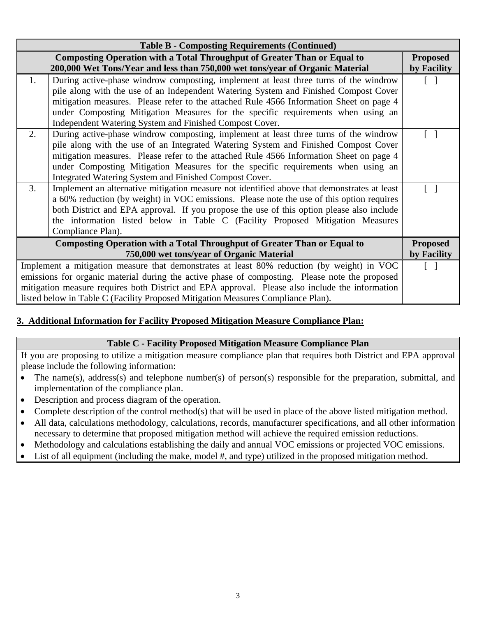| <b>Table B - Composting Requirements (Continued)</b>                                            |                                                                                                |                   |
|-------------------------------------------------------------------------------------------------|------------------------------------------------------------------------------------------------|-------------------|
| <b>Composting Operation with a Total Throughput of Greater Than or Equal to</b>                 |                                                                                                | <b>Proposed</b>   |
|                                                                                                 | 200,000 Wet Tons/Year and less than 750,000 wet tons/year of Organic Material                  | by Facility       |
| 1.                                                                                              | During active-phase windrow composting, implement at least three turns of the windrow          | $\Box$            |
|                                                                                                 | pile along with the use of an Independent Watering System and Finished Compost Cover           |                   |
|                                                                                                 | mitigation measures. Please refer to the attached Rule 4566 Information Sheet on page 4        |                   |
|                                                                                                 | under Composting Mitigation Measures for the specific requirements when using an               |                   |
|                                                                                                 | Independent Watering System and Finished Compost Cover.                                        |                   |
| 2.                                                                                              | During active-phase windrow composting, implement at least three turns of the windrow          |                   |
|                                                                                                 | pile along with the use of an Integrated Watering System and Finished Compost Cover            |                   |
|                                                                                                 | mitigation measures. Please refer to the attached Rule 4566 Information Sheet on page 4        |                   |
|                                                                                                 | under Composting Mitigation Measures for the specific requirements when using an               |                   |
|                                                                                                 | Integrated Watering System and Finished Compost Cover.                                         |                   |
| 3.                                                                                              | Implement an alternative mitigation measure not identified above that demonstrates at least    |                   |
|                                                                                                 | a 60% reduction (by weight) in VOC emissions. Please note the use of this option requires      |                   |
|                                                                                                 | both District and EPA approval. If you propose the use of this option please also include      |                   |
|                                                                                                 | the information listed below in Table C (Facility Proposed Mitigation Measures                 |                   |
|                                                                                                 | Compliance Plan).                                                                              |                   |
| <b>Composting Operation with a Total Throughput of Greater Than or Equal to</b>                 |                                                                                                | <b>Proposed</b>   |
| 750,000 wet tons/year of Organic Material                                                       |                                                                                                | by Facility       |
| Implement a mitigation measure that demonstrates at least 80% reduction (by weight) in VOC      |                                                                                                | $\vert \ \ \vert$ |
|                                                                                                 | emissions for organic material during the active phase of composting. Please note the proposed |                   |
| mitigation measure requires both District and EPA approval. Please also include the information |                                                                                                |                   |
|                                                                                                 | listed below in Table C (Facility Proposed Mitigation Measures Compliance Plan).               |                   |

## **3. Additional Information for Facility Proposed Mitigation Measure Compliance Plan:**

#### **Table C - Facility Proposed Mitigation Measure Compliance Plan**

If you are proposing to utilize a mitigation measure compliance plan that requires both District and EPA approval please include the following information:

- The name(s), address(s) and telephone number(s) of person(s) responsible for the preparation, submittal, and implementation of the compliance plan.
- Description and process diagram of the operation.
- Complete description of the control method(s) that will be used in place of the above listed mitigation method.
- All data, calculations methodology, calculations, records, manufacturer specifications, and all other information necessary to determine that proposed mitigation method will achieve the required emission reductions.
- Methodology and calculations establishing the daily and annual VOC emissions or projected VOC emissions.
- List of all equipment (including the make, model #, and type) utilized in the proposed mitigation method.